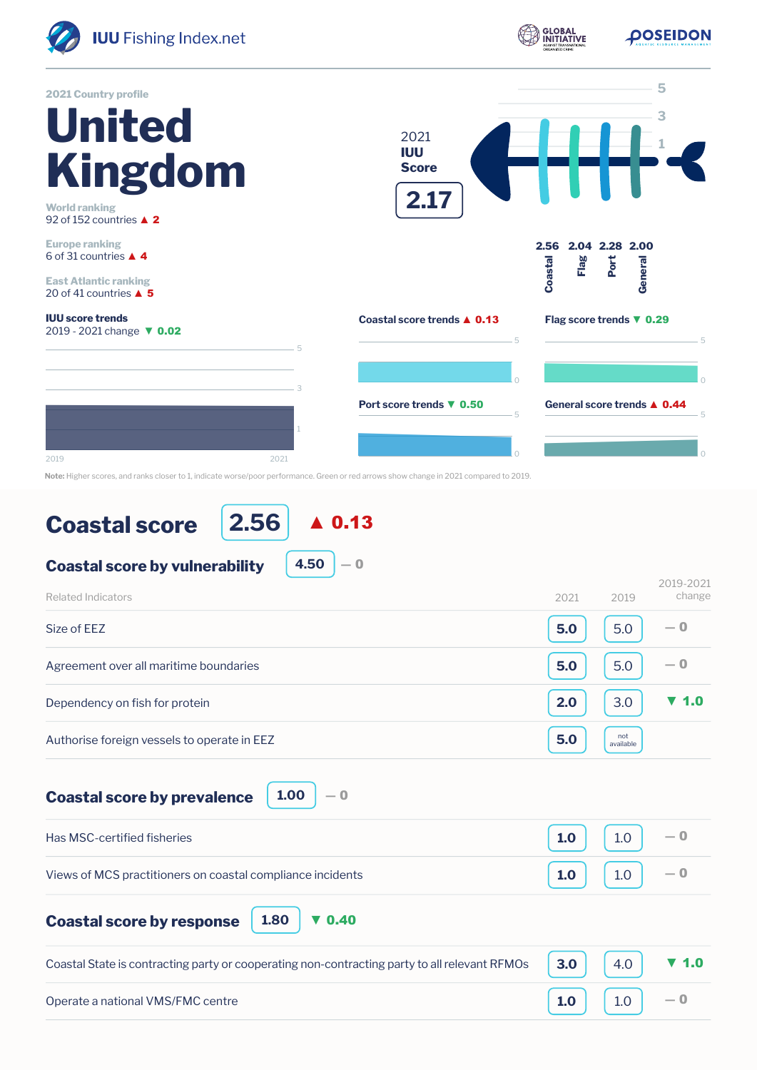

**Note:** Higher scores, and ranks closer to 1, indicate worse/poor performance. Green or red arrows show change in 2021 compared to 2019.

## **Coastal score**

**2.56** ▲ 0.13

```
Coastal score by vulnerability
                       4.50
```

| Related Indicators                          | 2021 | 2019             | ムソエン ムソムエ<br>change      |
|---------------------------------------------|------|------------------|--------------------------|
| Size of EEZ                                 | 5.0  | 5.0              | $-0$                     |
| Agreement over all maritime boundaries      | 5.0  | 5.0              | $-0$                     |
| Dependency on fish for protein              | 2.0  | 3.0              | $\blacktriangledown$ 1.0 |
| Authorise foreign vessels to operate in EEZ | 5.0  | not<br>available |                          |

 $-0$ 

2019-2021

**Coastal score by prevalence**

**1.00** ― 0

| Has MSC-certified fisheries                                | 1.0 | $1.0$                           | $-0$ |
|------------------------------------------------------------|-----|---------------------------------|------|
| Views of MCS practitioners on coastal compliance incidents |     | $\vert$ 1.0 $\vert$ 1.0 $\vert$ |      |

**Coastal score by response**

**1.80** ▼ 0.40

| Coastal State is contracting party or cooperating non-contracting party to all relevant RFMOs $\vert$ 3.0 $\vert$ 4.0 $\vert$ $\vert$ 4.0 |                                                                              |  |
|-------------------------------------------------------------------------------------------------------------------------------------------|------------------------------------------------------------------------------|--|
| Operate a national VMS/FMC centre                                                                                                         | $\begin{bmatrix} 1.0 \end{bmatrix}$ $\begin{bmatrix} 1.0 \end{bmatrix}$ $-0$ |  |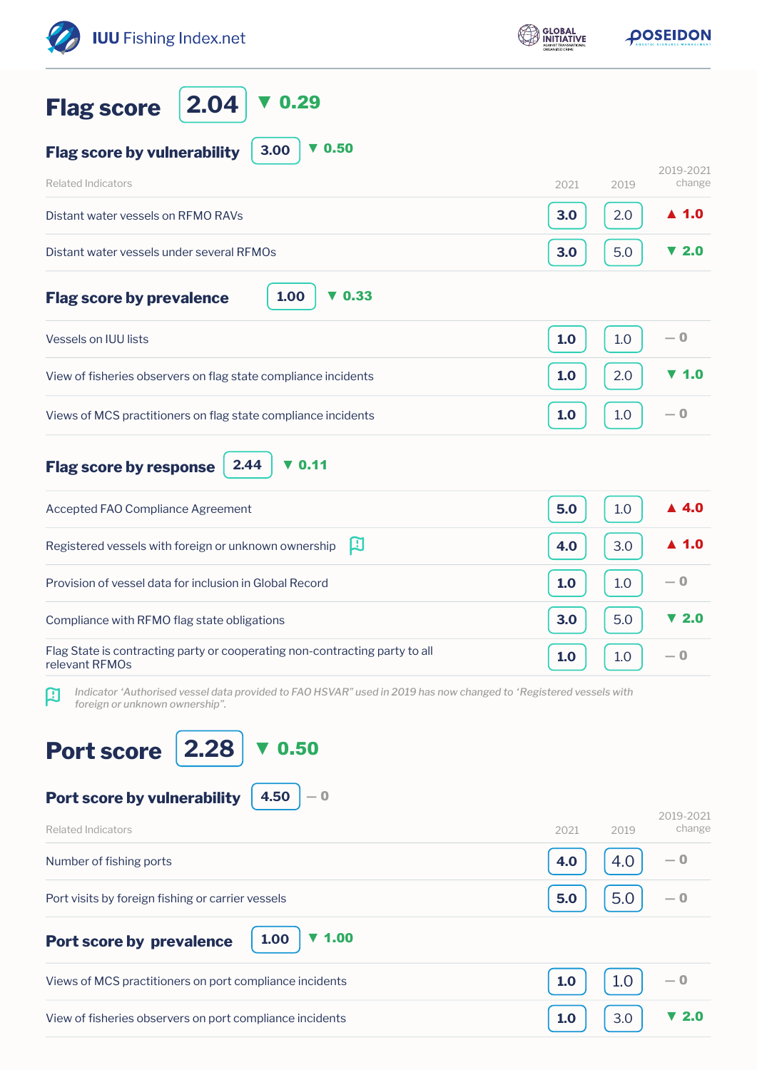| <b>IUU</b> Fishing Index.net                                                                                                                             | <b>GLOBAL</b> | <b>OOSEIDON</b>                 |  |
|----------------------------------------------------------------------------------------------------------------------------------------------------------|---------------|---------------------------------|--|
| 0.29<br>2.04<br><b>Flag score</b>                                                                                                                        |               |                                 |  |
| $\nabla$ 0.50<br>3.00<br><b>Flag score by vulnerability</b>                                                                                              |               |                                 |  |
| <b>Related Indicators</b>                                                                                                                                | 2021          | 2019-2021<br>change<br>2019     |  |
| Distant water vessels on RFMO RAVs                                                                                                                       | 3.0           | $\blacktriangle$ 1.0<br>2.0     |  |
| Distant water vessels under several RFMOs                                                                                                                | 3.0           | $\blacktriangledown$ 2.0<br>5.0 |  |
| 1.00<br>$\blacktriangledown$ 0.33<br><b>Flag score by prevalence</b>                                                                                     |               |                                 |  |
| <b>Vessels on IUU lists</b>                                                                                                                              | 1.0           | $-0$<br>1.0                     |  |
| View of fisheries observers on flag state compliance incidents                                                                                           | 1.0           | 2.0<br><b>V</b> 1.0             |  |
| Views of MCS practitioners on flag state compliance incidents                                                                                            | 1.0           | $-0$<br>1.0                     |  |
| $\nabla$ 0.11<br>2.44<br><b>Flag score by response</b>                                                                                                   |               |                                 |  |
| Accepted FAO Compliance Agreement                                                                                                                        | 5.0           | ▲ 4.0<br>1.0                    |  |
| 口<br>Registered vessels with foreign or unknown ownership                                                                                                | 4.0           | 3.0<br>▲ 1.0                    |  |
| Provision of vessel data for inclusion in Global Record                                                                                                  | 1.0           | $-0$<br>1.0                     |  |
| Compliance with RFMO flag state obligations                                                                                                              | 3.0           | ▼ 2.0<br>5.0                    |  |
| Flag State is contracting party or cooperating non-contracting party to all<br>relevant RFMOs                                                            | 1.0           | — 0<br>1.0                      |  |
| Indicator 'Authorised vessel data provided to FAO HSVAR" used in 2019 has now changed to 'Registered vessels with<br>口<br>foreign or unknown ownership". |               |                                 |  |
| 2.28<br>0.50<br><b>Port score</b>                                                                                                                        |               |                                 |  |
| 4.50<br>Port score by vulnerability<br>— 0                                                                                                               |               |                                 |  |
| <b>Related Indicators</b>                                                                                                                                | 2021          | 2019-2021<br>change<br>2019     |  |
| Number of fishing ports                                                                                                                                  | 4.0           | — 0<br>4.0                      |  |
| Port visits by foreign fishing or carrier vessels                                                                                                        | 5.0           | 5.0<br>— 0                      |  |
| $\blacktriangledown$ 1.00<br>1.00<br>Port score by prevalence                                                                                            |               |                                 |  |
| Views of MCS practitioners on port compliance incidents                                                                                                  | 1.0           | 1.0<br>— 0                      |  |
| View of fisheries observers on port compliance incidents                                                                                                 | 1.0           | 3.0<br>▼ 2.0                    |  |